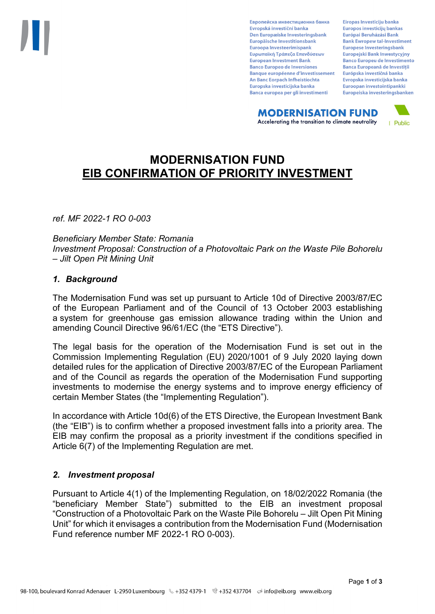Европейска инвестиционна банка Evropská investiční banka Den Europæiske Investeringsbank Europäische Investitionsbank Euroopa Investeerimispank Ευρωπαϊκή Τράπεζα Επενδύσεων **European Investment Bank Banco Europeo de Inversiones Banque européenne d'investissement** An Banc Eorpach Infheistíochta Europska investicijska banka Banca europea per gli investimenti

Eiropas Investīciju banka Europos investicijų bankas Európai Beruházási Bank **Bank Ewropew tal-Investiment** Europese Investeringsbank **Europeiski Bank Inwestycviny Banco Europeu de Investimento Banca Europeană de Investiții** Európska investičná banka Evropska investicijska banka Euroopan investointipankki Europeiska investeringsbanken

**MODERNISATION FUND** Accelerating the transition to climate neutrality



# **MODERNISATION FUND EIB CONFIRMATION OF PRIORITY INVESTMENT**

*ref. MF 2022-1 RO 0-003*

*Beneficiary Member State: Romania Investment Proposal: Construction of a Photovoltaic Park on the Waste Pile Bohorelu – Jilt Open Pit Mining Unit*

### *1. Background*

The Modernisation Fund was set up pursuant to Article 10d of Directive 2003/87/EC of the European Parliament and of the Council of 13 October 2003 establishing a system for greenhouse gas emission allowance trading within the Union and amending Council Directive 96/61/EC (the "ETS Directive").

The legal basis for the operation of the Modernisation Fund is set out in the Commission Implementing Regulation (EU) 2020/1001 of 9 July 2020 laying down detailed rules for the application of Directive 2003/87/EC of the European Parliament and of the Council as regards the operation of the Modernisation Fund supporting investments to modernise the energy systems and to improve energy efficiency of certain Member States (the "Implementing Regulation").

In accordance with Article 10d(6) of the ETS Directive, the European Investment Bank (the "EIB") is to confirm whether a proposed investment falls into a priority area. The EIB may confirm the proposal as a priority investment if the conditions specified in Article 6(7) of the Implementing Regulation are met.

### *2. Investment proposal*

Pursuant to Article 4(1) of the Implementing Regulation, on 18/02/2022 Romania (the "beneficiary Member State") submitted to the EIB an investment proposal "Construction of a Photovoltaic Park on the Waste Pile Bohorelu – Jilt Open Pit Mining Unit" for which it envisages a contribution from the Modernisation Fund (Modernisation Fund reference number MF 2022-1 RO 0-003).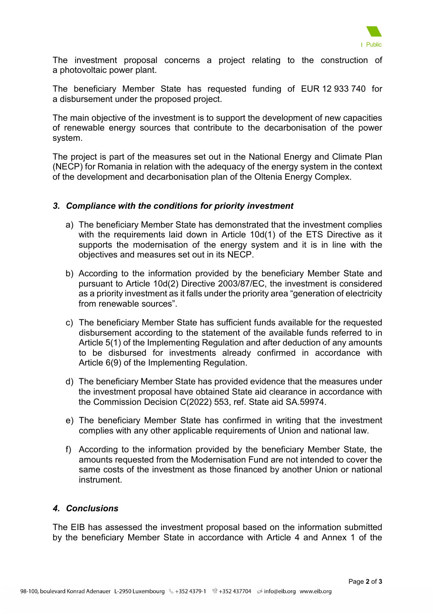

The investment proposal concerns a project relating to the construction of a photovoltaic power plant.

The beneficiary Member State has requested funding of EUR 12 933 740 for a disbursement under the proposed project.

The main objective of the investment is to support the development of new capacities of renewable energy sources that contribute to the decarbonisation of the power system.

The project is part of the measures set out in the National Energy and Climate Plan (NECP) for Romania in relation with the adequacy of the energy system in the context of the development and decarbonisation plan of the Oltenia Energy Complex.

### *3. Compliance with the conditions for priority investment*

- a) The beneficiary Member State has demonstrated that the investment complies with the requirements laid down in Article 10d(1) of the ETS Directive as it supports the modernisation of the energy system and it is in line with the objectives and measures set out in its NECP.
- b) According to the information provided by the beneficiary Member State and pursuant to Article 10d(2) Directive 2003/87/EC, the investment is considered as a priority investment as it falls under the priority area "generation of electricity from renewable sources".
- c) The beneficiary Member State has sufficient funds available for the requested disbursement according to the statement of the available funds referred to in Article 5(1) of the Implementing Regulation and after deduction of any amounts to be disbursed for investments already confirmed in accordance with Article 6(9) of the Implementing Regulation.
- d) The beneficiary Member State has provided evidence that the measures under the investment proposal have obtained State aid clearance in accordance with the Commission Decision C(2022) 553, ref. State aid SA.59974.
- e) The beneficiary Member State has confirmed in writing that the investment complies with any other applicable requirements of Union and national law.
- f) According to the information provided by the beneficiary Member State, the amounts requested from the Modernisation Fund are not intended to cover the same costs of the investment as those financed by another Union or national instrument.

## *4. Conclusions*

The EIB has assessed the investment proposal based on the information submitted by the beneficiary Member State in accordance with Article 4 and Annex 1 of the